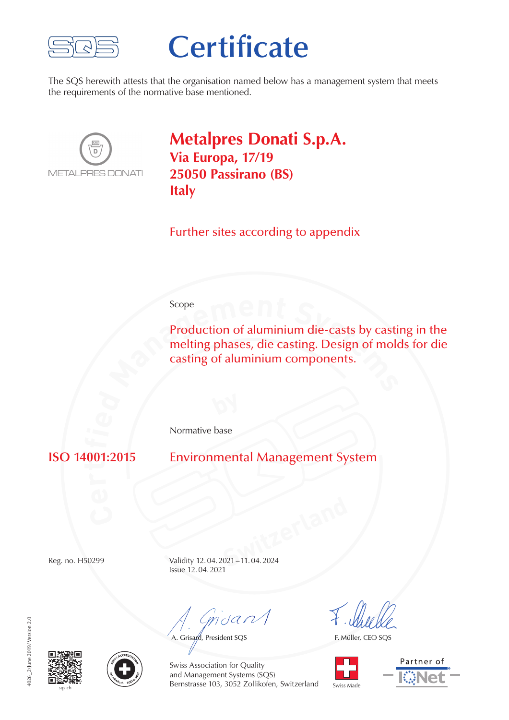

## **Certificate**

The SQS herewith attests that the organisation named below has a management system that meets the requirements of the normative base mentioned.



**Metalpres Donati S.p.A. Via Europa, 17/19 25050 Passirano (BS) Italy**

Further sites according to appendix

## Scope

**Production of aluminium die-casts by casti<br>melting phases, die casting. Design of mole<br>casting of aluminium components.** Production of aluminium die-casts by casting in the melting phases, die casting. Design of molds for die casting of aluminium components.

Normative base

**ti** **Environmental Management System** 

**SWITZER 1999** Reg. no. H50299 Validity 12.04.2021–11.04.2024 Issue 12.04.2021

mdan

A. Grisard, President SQS

F. Müller, CEO SQS









Swiss Association for Quality and Management Systems (SQS) Bernstrasse 103, 3052 Zollikofen, Switzerland